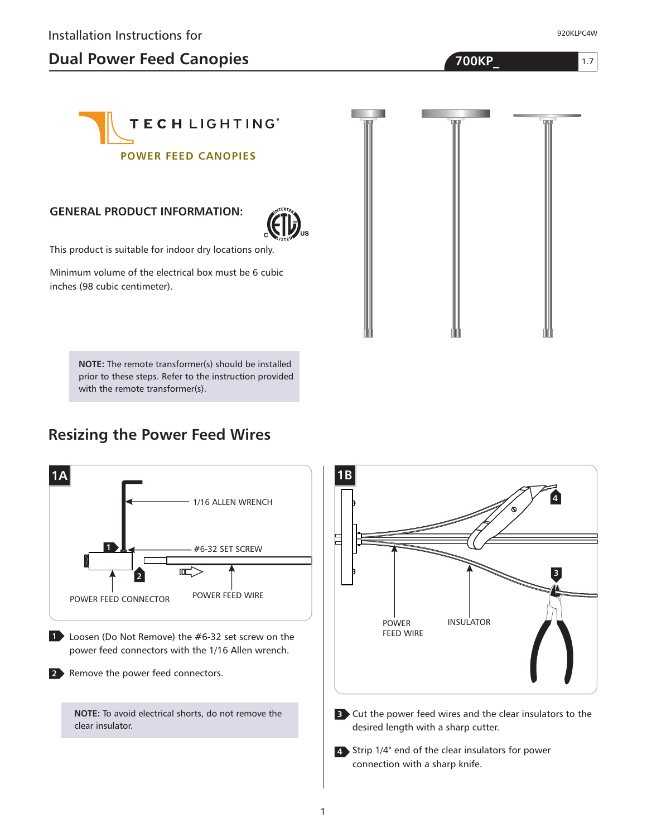# **Dual Power Feed Canopies 700KP\_**

920KLPC4W

1.7



#### **GENERAL PRODUCT INFORMATION:**



This product is suitable for indoor dry locations only.

Minimum volume of the electrical box must be 6 cubic inches (98 cubic centimeter).

> **NOTE:** The remote transformer(s) should be installed prior to these steps. Refer to the instruction provided with the remote transformer(s).

#### **Resizing the Power Feed Wires**





Cut the power feed wires and the clear insulators to the **3** desired length with a sharp cutter.

Strip 1/4" end of the clear insulators for power **4** connection with a sharp knife.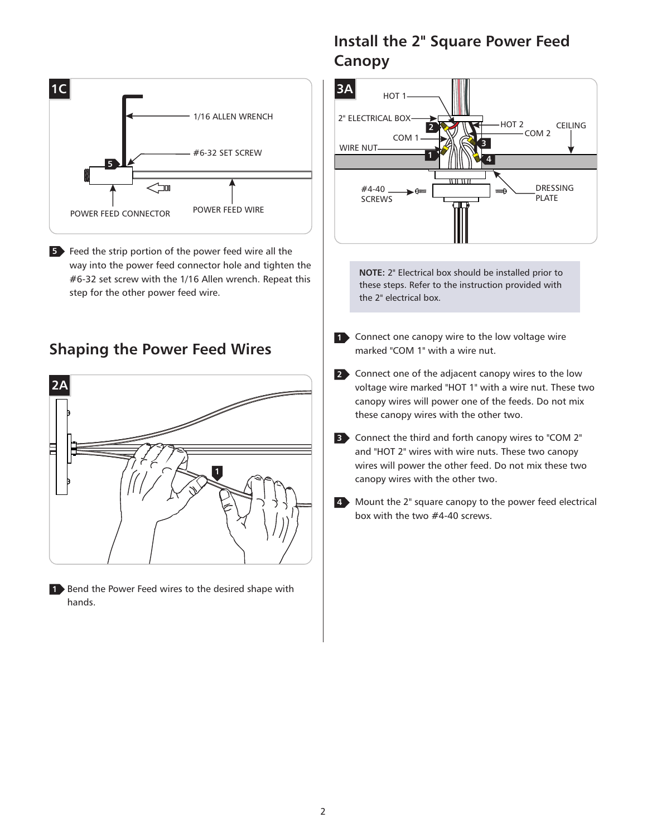

**5** Feed the strip portion of the power feed wire all the way into the power feed connector hole and tighten the #6-32 set screw with the 1/16 Allen wrench. Repeat this step for the other power feed wire.

#### **Shaping the Power Feed Wires**



1 Bend the Power Feed wires to the desired shape with hands.

# **Install the 2" Square Power Feed Canopy**



**NOTE:** 2" Electrical box should be installed prior to these steps. Refer to the instruction provided with the 2" electrical box.

- 1 Connect one canopy wire to the low voltage wire marked "COM 1" with a wire nut.
- Connect one of the adjacent canopy wires to the low **2** voltage wire marked "HOT 1" with a wire nut. These two canopy wires will power one of the feeds. Do not mix these canopy wires with the other two.
- Connect the third and forth canopy wires to "COM 2" **3** and "HOT 2" wires with wire nuts. These two canopy wires will power the other feed. Do not mix these two canopy wires with the other two.
- Mount the 2" square canopy to the power feed electrical **4** box with the two #4-40 screws.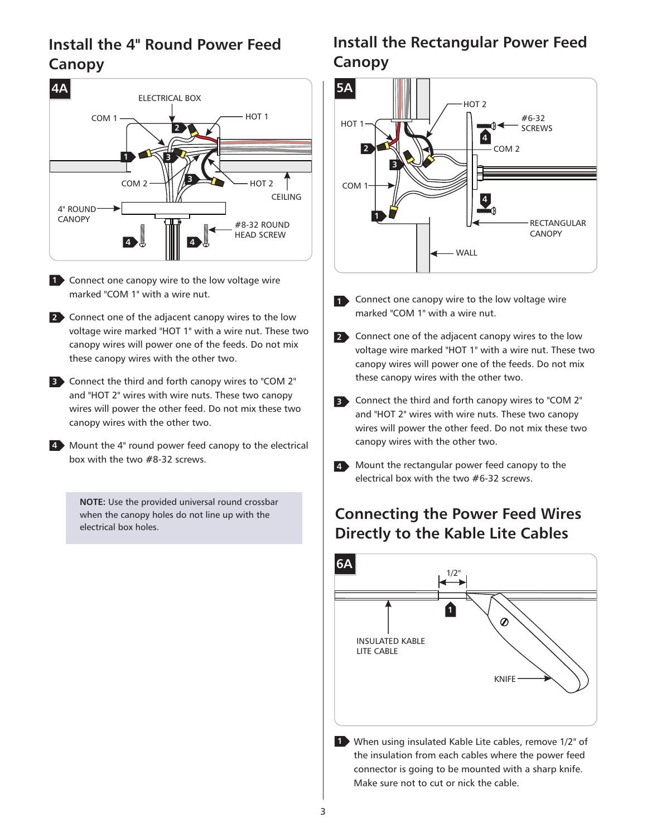### **Install the 4" Round Power Feed Canopy**



- Connect one canopy wire to the low voltage wire **1** marked "COM 1" with a wire nut.
- Connect one of the adjacent canopy wires to the low **2** voltage wire marked "HOT 1" with a wire nut. These two canopy wires will power one of the feeds. Do not mix these canopy wires with the other two.
- Connect the third and forth canopy wires to "COM 2" **3** and "HOT 2" wires with wire nuts. These two canopy wires will power the other feed. Do not mix these two canopy wires with the other two.
- Mount the 4" round power feed canopy to the electrical **4** box with the two #8-32 screws.

**NOTE:** Use the provided universal round crossbar when the canopy holes do not line up with the electrical box holes.

## **Install the Rectangular Power Feed Canopy**



- 1 Connect one canopy wire to the low voltage wire marked "COM 1" with a wire nut.
- Connect one of the adjacent canopy wires to the low **2** voltage wire marked "HOT 1" with a wire nut. These two canopy wires will power one of the feeds. Do not mix these canopy wires with the other two.
- Connect the third and forth canopy wires to "COM 2" **3** and "HOT 2" wires with wire nuts. These two canopy wires will power the other feed. Do not mix these two canopy wires with the other two.
- Mount the rectangular power feed canopy to the **4** electrical box with the two #6-32 screws.

### **Connecting the Power Feed Wires Directly to the Kable Lite Cables**



When using insulated Kable Lite cables, remove 1/2" of **1** the insulation from each cables where the power feed connector is going to be mounted with a sharp knife. Make sure not to cut or nick the cable.